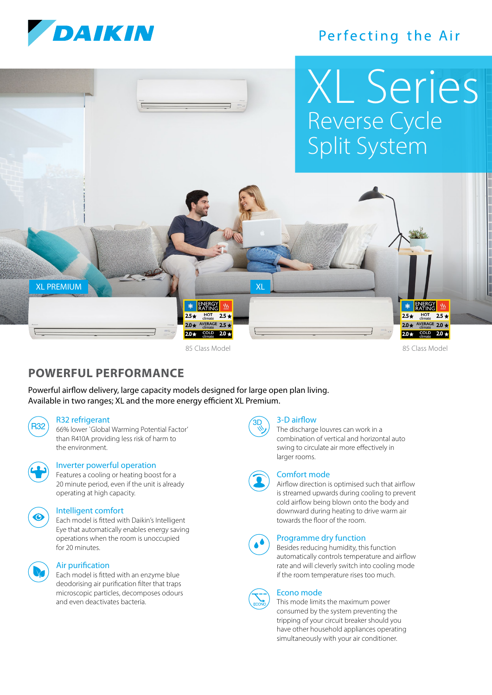

# Perfecting the Air



## **POWERFUL PERFORMANCE**

Powerful airflow delivery, large capacity models designed for large open plan living. Available in two ranges; XL and the more energy efficient XL Premium.

#### R32 refrigerant

R32) 66% lower `Global Warming Potential Factor' than R410A providing less risk of harm to the environment.



#### Inverter powerful operation

 Features a cooling or heating boost for a 20 minute period, even if the unit is already operating at high capacity.



#### Intelligent comfort

 Each model is fitted with Daikin's Intelligent Eye that automatically enables energy saving operations when the room is unoccupied for 20 minutes.



#### Air purification

 Each model is fitted with an enzyme blue deodorising air purification filter that traps microscopic particles, decomposes odours and even deactivates bacteria.



#### 3-D airflow

 The discharge louvres can work in a combination of vertical and horizontal auto swing to circulate air more effectively in larger rooms.



#### Comfort mode

 Airflow direction is optimised such that airflow is streamed upwards during cooling to prevent cold airflow being blown onto the body and downward during heating to drive warm air towards the floor of the room.



#### Programme dry function

 Besides reducing humidity, this function automatically controls temperature and airflow rate and will cleverly switch into cooling mode if the room temperature rises too much.



#### This mode limits the maximum power consumed by the system preventing the tripping of your circuit breaker should you have other household appliances operating simultaneously with your air conditioner.